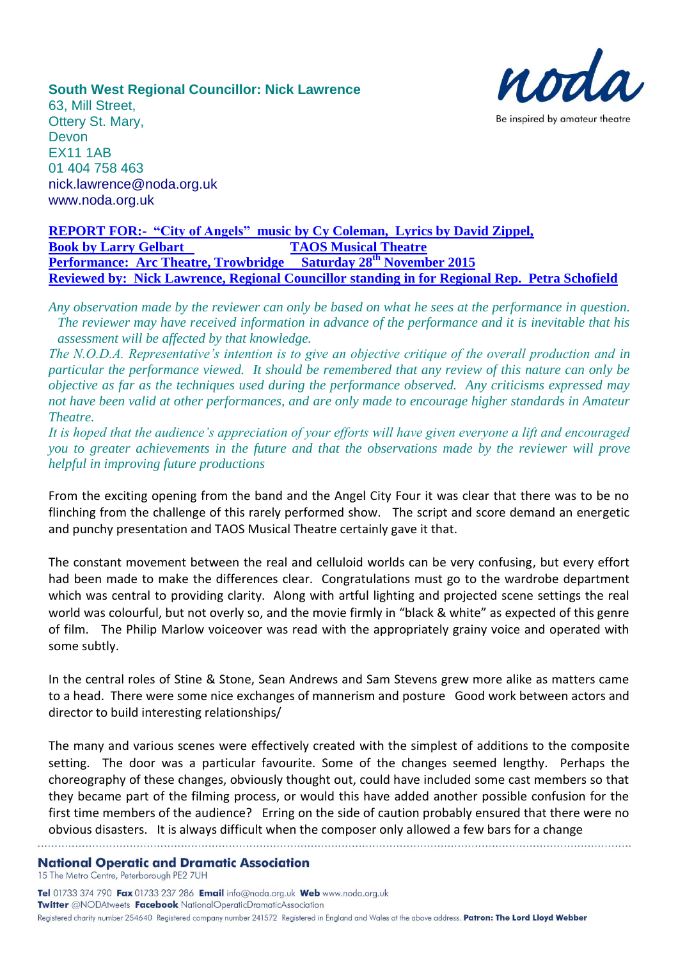

**South West Regional Councillor: Nick Lawrence** 63, Mill Street, Ottery St. Mary, Devon EX11 1AB 01 404 758 463

[nick.lawrence@noda.org.uk](mailto:nick.lawrence@noda.org.uk)

[www.noda.org.uk](http://www.noda.org.uk/)

**REPORT FOR:- "City of Angels" music by Cy Coleman, Lyrics by David Zippel, Book by Larry Gelbart TAOS Musical Theatre Performance: Arc Theatre, Trowbridge Saturday 28th November 2015 Reviewed by: Nick Lawrence, Regional Councillor standing in for Regional Rep. Petra Schofield**

*Any observation made by the reviewer can only be based on what he sees at the performance in question. The reviewer may have received information in advance of the performance and it is inevitable that his assessment will be affected by that knowledge.*

*The N.O.D.A. Representative's intention is to give an objective critique of the overall production and in particular the performance viewed. It should be remembered that any review of this nature can only be objective as far as the techniques used during the performance observed. Any criticisms expressed may not have been valid at other performances, and are only made to encourage higher standards in Amateur Theatre.*

*It is hoped that the audience's appreciation of your efforts will have given everyone a lift and encouraged you to greater achievements in the future and that the observations made by the reviewer will prove helpful in improving future productions*

From the exciting opening from the band and the Angel City Four it was clear that there was to be no flinching from the challenge of this rarely performed show. The script and score demand an energetic and punchy presentation and TAOS Musical Theatre certainly gave it that.

The constant movement between the real and celluloid worlds can be very confusing, but every effort had been made to make the differences clear. Congratulations must go to the wardrobe department which was central to providing clarity. Along with artful lighting and projected scene settings the real world was colourful, but not overly so, and the movie firmly in "black & white" as expected of this genre of film. The Philip Marlow voiceover was read with the appropriately grainy voice and operated with some subtly.

In the central roles of Stine & Stone, Sean Andrews and Sam Stevens grew more alike as matters came to a head. There were some nice exchanges of mannerism and posture Good work between actors and director to build interesting relationships/

The many and various scenes were effectively created with the simplest of additions to the composite setting. The door was a particular favourite. Some of the changes seemed lengthy. Perhaps the choreography of these changes, obviously thought out, could have included some cast members so that they became part of the filming process, or would this have added another possible confusion for the first time members of the audience? Erring on the side of caution probably ensured that there were no obvious disasters. It is always difficult when the composer only allowed a few bars for a change

## **National Operatic and Dramatic Association** 15 The Metro Centre, Peterborough PE2 7UH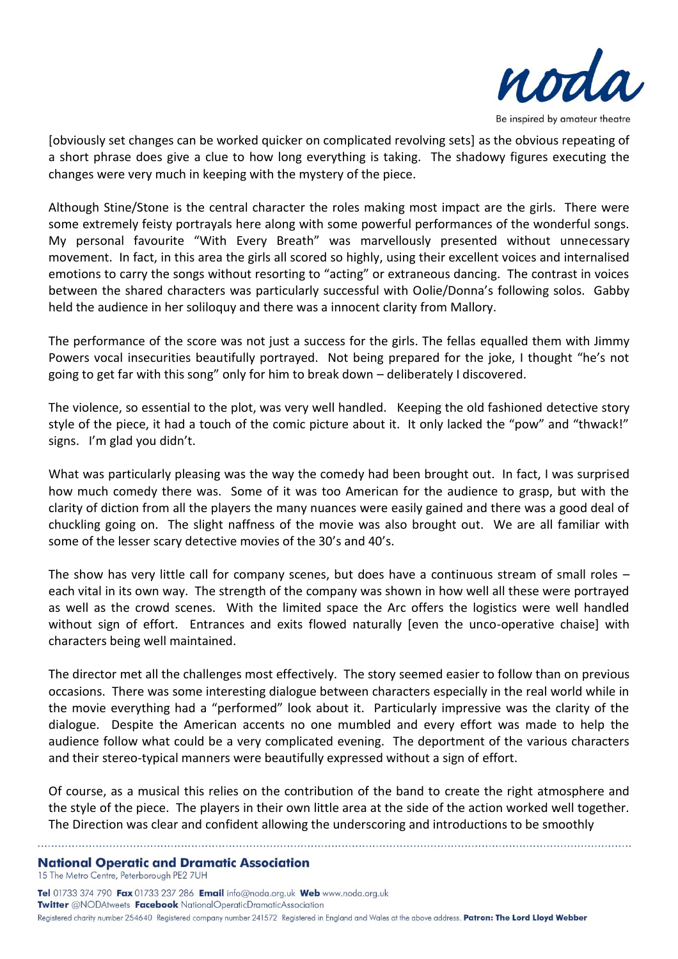

[obviously set changes can be worked quicker on complicated revolving sets] as the obvious repeating of a short phrase does give a clue to how long everything is taking. The shadowy figures executing the changes were very much in keeping with the mystery of the piece.

Although Stine/Stone is the central character the roles making most impact are the girls. There were some extremely feisty portrayals here along with some powerful performances of the wonderful songs. My personal favourite "With Every Breath" was marvellously presented without unnecessary movement. In fact, in this area the girls all scored so highly, using their excellent voices and internalised emotions to carry the songs without resorting to "acting" or extraneous dancing. The contrast in voices between the shared characters was particularly successful with Oolie/Donna's following solos. Gabby held the audience in her soliloquy and there was a innocent clarity from Mallory.

The performance of the score was not just a success for the girls. The fellas equalled them with Jimmy Powers vocal insecurities beautifully portrayed. Not being prepared for the joke, I thought "he's not going to get far with this song" only for him to break down – deliberately I discovered.

The violence, so essential to the plot, was very well handled. Keeping the old fashioned detective story style of the piece, it had a touch of the comic picture about it. It only lacked the "pow" and "thwack!" signs. I'm glad you didn't.

What was particularly pleasing was the way the comedy had been brought out. In fact, I was surprised how much comedy there was. Some of it was too American for the audience to grasp, but with the clarity of diction from all the players the many nuances were easily gained and there was a good deal of chuckling going on. The slight naffness of the movie was also brought out. We are all familiar with some of the lesser scary detective movies of the 30's and 40's.

The show has very little call for company scenes, but does have a continuous stream of small roles – each vital in its own way. The strength of the company was shown in how well all these were portrayed as well as the crowd scenes. With the limited space the Arc offers the logistics were well handled without sign of effort. Entrances and exits flowed naturally [even the unco-operative chaise] with characters being well maintained.

The director met all the challenges most effectively. The story seemed easier to follow than on previous occasions. There was some interesting dialogue between characters especially in the real world while in the movie everything had a "performed" look about it. Particularly impressive was the clarity of the dialogue. Despite the American accents no one mumbled and every effort was made to help the audience follow what could be a very complicated evening. The deportment of the various characters and their stereo-typical manners were beautifully expressed without a sign of effort.

Of course, as a musical this relies on the contribution of the band to create the right atmosphere and the style of the piece. The players in their own little area at the side of the action worked well together. The Direction was clear and confident allowing the underscoring and introductions to be smoothly

**National Operatic and Dramatic Association** 15 The Metro Centre, Peterborough PE2 7UH